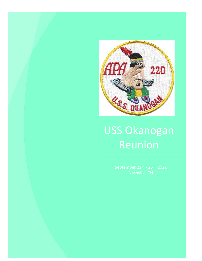

# USS Okanogan Reunion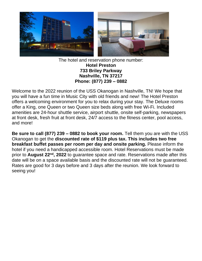

The hotel and reservation phone number: **Hotel Preston 733 Briley Parkway Nashville, TN 37217 Phone: (877) 239 – 0882**

Welcome to the 2022 reunion of the USS Okanogan in Nashville, TN! We hope that you will have a fun time in Music City with old friends and new! The Hotel Preston offers a welcoming environment for you to relax during your stay. The Deluxe rooms offer a King, one Queen or two Queen size beds along with free Wi-Fi. Included amenities are 24-hour shuttle service, airport shuttle, onsite self-parking, newspapers at front desk, fresh fruit at front desk, 24/7 access to the fitness center, pool access, and more!

**Be sure to call (877) 239 – 0882 to book your room.** Tell them you are with the USS Okanogan to get the **discounted rate of \$119 plus tax. This includes two free breakfast buffet passes per room per day and onsite parking.** Please inform the hotel if you need a handicapped accessible room. Hotel Reservations must be made prior to **August 22<sup>nd</sup>, 2022** to guarantee space and rate. Reservations made after this date will be on a space available basis and the discounted rate will not be guaranteed. Rates are good for 3 days before and 3 days after the reunion. We look forward to seeing you!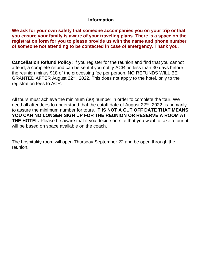#### **Information**

**We ask for your own safety that someone accompanies you on your trip or that you ensure your family is aware of your traveling plans. There is a space on the registration form for you to please provide us with the name and phone number of someone not attending to be contacted in case of emergency. Thank you.**

**Cancellation Refund Policy:** If you register for the reunion and find that you cannot attend, a complete refund can be sent if you notify ACR no less than 30 days before the reunion minus \$18 of the processing fee per person. NO REFUNDS WILL BE GRANTED AFTER August 22nd, 2022. This does not apply to the hotel, only to the registration fees to ACR.

All tours must achieve the minimum (30) number in order to complete the tour. We need all attendees to understand that the cutoff date of August 22<sup>nd</sup>, 2022. is primarily to assure the minimum number for tours. **IT IS NOT A CUT OFF DATE THAT MEANS YOU CAN NO LONGER SIGN UP FOR THE REUNION OR RESERVE A ROOM AT THE HOTEL.** Please be aware that if you decide on-site that you want to take a tour, it will be based on space available on the coach.

The hospitality room will open Thursday September 22 and be open through the reunion.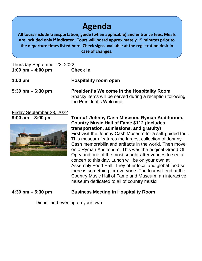## **Agenda**

**All tours include transportation, guide (when applicable) and entrance fees. Meals are included only if indicated. Tours will board approximately 15 minutes prior to the departure times listed here. Check signs available at the registration desk in case of changes.**

| Thursday September 22, 2022<br>1:00 pm $-$ 4:00 pm | <b>Check in</b>                                                                                                                            |
|----------------------------------------------------|--------------------------------------------------------------------------------------------------------------------------------------------|
| $1:00$ pm                                          | <b>Hospitality room open</b>                                                                                                               |
| $5:30 \text{ pm} - 6:30 \text{ pm}$                | <b>President's Welcome in the Hospitality Room</b><br>Snacky items will be served during a reception following<br>the President's Welcome. |

Friday September 23, 2022



#### **9:00 am – 3:00 pm Tour #1 Johnny Cash Museum, Ryman Auditorium, Country Music Hall of Fame \$112 (Includes transportation, admissions, and gratuity)**

First visit the Johnny Cash Museum for a self-guided tour. This museum features the largest collection of Johnny Cash memorabilia and artifacts in the world. Then move onto Ryman Auditorium. This was the original Grand Ol Opry and one of the most sought-after venues to see a concert to this day. Lunch will be on your own at Assembly Food Hall. They offer local and global food so there is something for everyone. The tour will end at the Country Music Hall of Fame and Museum, an interactive museum dedicated to all of country music!

### **4:30 pm – 5:30 pm Business Meeting in Hospitality Room**

Dinner and evening on your own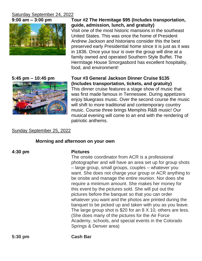## Saturday September 24, 2022



**9:00 am – 3:00 pm Tour #2 The Hermitage \$95 (Includes transportation, guide, admission, lunch, and gratuity)** Visit one of the most historic mansions in the southeast United States. This was once the home of President Andrew Jackson and historians consider this the best preserved early Presidential home since it is just as it was in 1836. Once your tour is over the group will dine at a family owned and operated Southern Style Buffet. The Hermitage House Smorgasbord has excellent hospitality, food, and environment!



#### **5:45 pm – 10:45 pm Tour #3 General Jackson Dinner Cruise \$135 (Includes transportation, tickets, and gratuity)**

This dinner cruise features a stage show of music that was first made famous in Tennessee. During appetizers enjoy bluegrass music. Over the second course the music will shift to more traditional and contemporary country music. Course three brings Memphis R&B music! Our musical evening will come to an end with the rendering of patriotic anthems.

### Sunday September 25, 2022

### **Morning and afternoon on your own**

### **4:30 pm Pictures**

The onsite coordinator from ACR is a professional photographer and will have an area set up for group shots – large group, small groups, couples – whatever you want. She does not charge your group or ACR anything to be onsite and manage the entire reunion. Nor does she require a minimum amount. She makes her money for this event by the pictures sold. She will put out the pictures before the banquet so that you can order whatever you want and the photos are printed during the banquet to be picked up and taken with you as you leave. The large group shot is \$20 for an 8 X 10, others are less. (She does many of the pictures for the Air Force Academy, schools, and special events in the Colorado Springs & Denver area)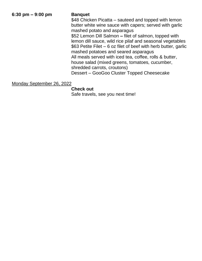**6:30 pm – 9:00 pm Banquet**

\$48 Chicken Picatta – sauteed and topped with lemon butter white wine sauce with capers; served with garlic mashed potato and asparagus \$52 Lemon Dill Salmon **–** filet of salmon, topped with lemon dill sauce, wild rice pilaf and seasonal vegetables \$63 Petite Filet – 6 oz filet of beef with herb butter, garlic mashed potatoes and seared asparagus All meals served with iced tea, coffee, rolls & butter, house salad (mixed greens, tomatoes, cucumber, shredded carrots, croutons) Dessert – GooGoo Cluster Topped Cheesecake

#### Monday September 26, 2022

#### **Check out**

Safe travels, see you next time!